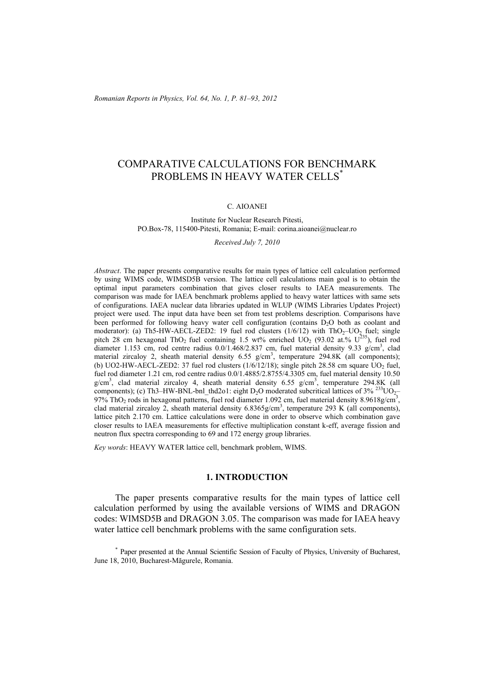# COMPARATIVE CALCULATIONS FOR BENCHMARK PROBLEMS IN HEAVY WATER CELLS<sup>\*</sup>

### C. AIOANEI

#### Institute for Nuclear Research Pitesti, PO.Box-78, 115400-Pitesti, Romania; E-mail: corina.aioanei@nuclear.ro

*Received July 7, 2010* 

*Abstract*. The paper presents comparative results for main types of lattice cell calculation performed by using WIMS code, WIMSD5B version. The lattice cell calculations main goal is to obtain the optimal input parameters combination that gives closer results to IAEA measurements. The comparison was made for IAEA benchmark problems applied to heavy water lattices with same sets of configurations. IAEA nuclear data libraries updated in WLUP (WIMS Libraries Updates Project) project were used. The input data have been set from test problems description. Comparisons have been performed for following heavy water cell configuration (contains  $D_2O$  both as coolant and moderator): (a) Th5-HW-AECL-ZED2: 19 fuel rod clusters  $(1/6/12)$  with ThO<sub>2</sub>–UO<sub>2</sub> fuel; single pitch 28 cm hexagonal ThO<sub>2</sub> fuel containing 1.5 wt% enriched  $UO_2$  (93.02 at.%  $U^{235}$ ), fuel rod diameter 1.153 cm, rod centre radius  $0.0/1.468/2.837$  cm, fuel material density 9.33 g/cm<sup>3</sup>, clad material zircaloy 2, sheath material density  $6.55 \text{ g/cm}^3$ , temperature 294.8K (all components); (b) UO2-HW-AECL-ZED2: 37 fuel rod clusters  $(1/6/12/18)$ ; single pitch 28.58 cm square UO<sub>2</sub> fuel, fuel rod diameter 1.21 cm, rod centre radius 0.0/1.4885/2.8755/4.3305 cm, fuel material density 10.50  $g/cm<sup>3</sup>$ , clad material zircaloy 4, sheath material density 6.55  $g/cm<sup>3</sup>$ , temperature 294.8K (all components); (c) Th3–HW-BNL-bnl\_thd2o1: eight D<sub>2</sub>O moderated subcritical lattices of  $3\%$  <sup>233</sup>UO<sub>2</sub>– 97% ThO<sub>2</sub> rods in hexagonal patterns, fuel rod diameter 1.092 cm, fuel material density 8.9618g/cm<sup>3</sup>, clad material zircaloy 2, sheath material density  $6.8365g/cm^3$ , temperature 293 K (all components), lattice pitch 2.170 cm. Lattice calculations were done in order to observe which combination gave closer results to IAEA measurements for effective multiplication constant k-eff, average fission and neutron flux spectra corresponding to 69 and 172 energy group libraries.

*Key words*: HEAVY WATER lattice cell, benchmark problem, WIMS.

### **1. INTRODUCTION**

The paper presents comparative results for the main types of lattice cell calculation performed by using the available versions of WIMS and DRAGON codes: WIMSD5B and DRAGON 3.05. The comparison was made for IAEA heavy water lattice cell benchmark problems with the same configuration sets.

\* Paper presented at the Annual Scientific Session of Faculty of Physics, University of Bucharest, June 18, 2010, Bucharest-Măgurele, Romania.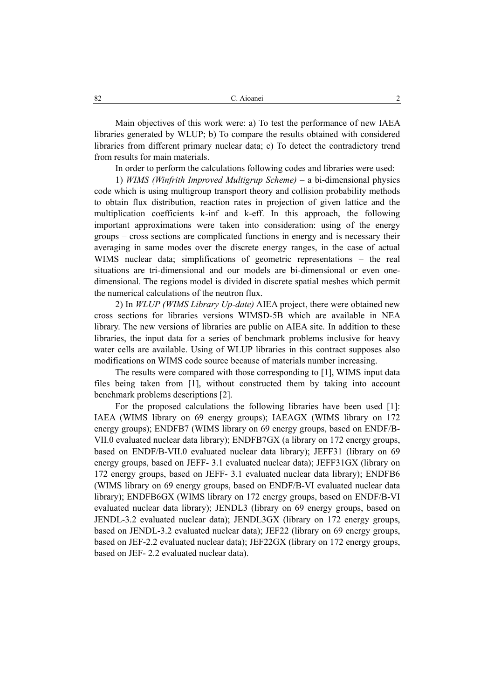Main objectives of this work were: a) To test the performance of new IAEA libraries generated by WLUP; b) To compare the results obtained with considered libraries from different primary nuclear data; c) To detect the contradictory trend from results for main materials.

In order to perform the calculations following codes and libraries were used:

1) *WIMS (Winfrith Improved Multigrup Scheme)* – a bi-dimensional physics code which is using multigroup transport theory and collision probability methods to obtain flux distribution, reaction rates in projection of given lattice and the multiplication coefficients k-inf and k-eff. In this approach, the following important approximations were taken into consideration: using of the energy groups – cross sections are complicated functions in energy and is necessary their averaging in same modes over the discrete energy ranges, in the case of actual WIMS nuclear data; simplifications of geometric representations – the real situations are tri-dimensional and our models are bi-dimensional or even onedimensional. The regions model is divided in discrete spatial meshes which permit the numerical calculations of the neutron flux.

2) In *WLUP (WIMS Library Up-date)* AIEA project, there were obtained new cross sections for libraries versions WIMSD-5B which are available in NEA library. The new versions of libraries are public on AIEA site. In addition to these libraries, the input data for a series of benchmark problems inclusive for heavy water cells are available. Using of WLUP libraries in this contract supposes also modifications on WIMS code source because of materials number increasing.

The results were compared with those corresponding to [1], WIMS input data files being taken from [1], without constructed them by taking into account benchmark problems descriptions [2].

For the proposed calculations the following libraries have been used [1]: IAEA (WIMS library on 69 energy groups); IAEAGX (WIMS library on 172 energy groups); ENDFB7 (WIMS library on 69 energy groups, based on ENDF/B-VII.0 evaluated nuclear data library); ENDFB7GX (a library on 172 energy groups, based on ENDF/B-VII.0 evaluated nuclear data library); JEFF31 (library on 69 energy groups, based on JEFF- 3.1 evaluated nuclear data); JEFF31GX (library on 172 energy groups, based on JEFF- 3.1 evaluated nuclear data library); ENDFB6 (WIMS library on 69 energy groups, based on ENDF/B-VI evaluated nuclear data library); ENDFB6GX (WIMS library on 172 energy groups, based on ENDF/B-VI evaluated nuclear data library); JENDL3 (library on 69 energy groups, based on JENDL-3.2 evaluated nuclear data); JENDL3GX (library on 172 energy groups, based on JENDL-3.2 evaluated nuclear data); JEF22 (library on 69 energy groups, based on JEF-2.2 evaluated nuclear data); JEF22GX (library on 172 energy groups, based on JEF- 2.2 evaluated nuclear data).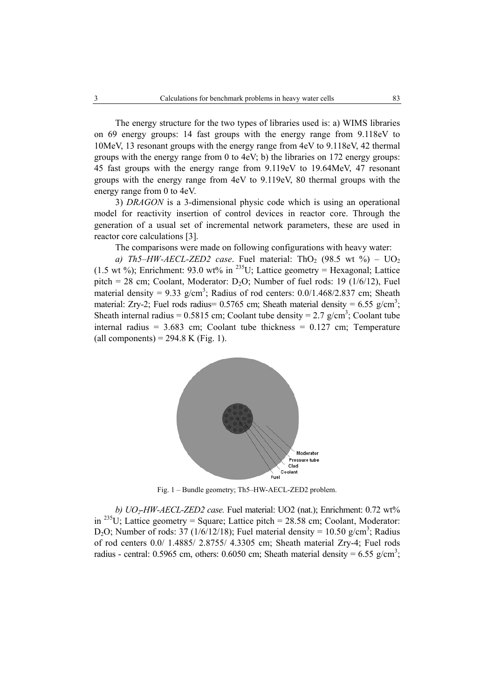The energy structure for the two types of libraries used is: a) WIMS libraries on 69 energy groups: 14 fast groups with the energy range from 9.118eV to 10MeV, 13 resonant groups with the energy range from 4eV to 9.118eV, 42 thermal groups with the energy range from 0 to 4eV; b) the libraries on 172 energy groups: 45 fast groups with the energy range from 9.119eV to 19.64MeV, 47 resonant groups with the energy range from 4eV to 9.119eV, 80 thermal groups with the energy range from 0 to 4eV.

3) *DRAGON* is a 3-dimensional physic code which is using an operational model for reactivity insertion of control devices in reactor core. Through the generation of a usual set of incremental network parameters, these are used in reactor core calculations [3].

The comparisons were made on following configurations with heavy water:

*a)*  $Th5-HW-AECL-ZED2$  case. Fuel material: ThO<sub>2</sub> (98.5 wt  $\%$ ) – UO<sub>2</sub> (1.5 wt %); Enrichment: 93.0 wt% in <sup>235</sup>U; Lattice geometry = Hexagonal; Lattice pitch = 28 cm; Coolant, Moderator: D<sub>2</sub>O; Number of fuel rods: 19 ( $1/6/12$ ), Fuel material density =  $9.33$  g/cm<sup>3</sup>; Radius of rod centers:  $0.0/1.468/2.837$  cm; Sheath material: Zry-2; Fuel rods radius=  $0.5765$  cm; Sheath material density =  $6.55$  g/cm<sup>3</sup>; Sheath internal radius =  $0.5815$  cm; Coolant tube density =  $2.7$  g/cm<sup>3</sup>; Coolant tube internal radius =  $3.683$  cm; Coolant tube thickness =  $0.127$  cm; Temperature (all components) =  $294.8$  K (Fig. 1).



Fig. 1 – Bundle geometry; Th5–HW-AECL-ZED2 problem.

*b) UO2-HW-AECL-ZED2 case.* Fuel material: UO2 (nat.); Enrichment: 0.72 wt% in  $^{235}$ U; Lattice geometry = Square; Lattice pitch = 28.58 cm; Coolant, Moderator: D<sub>2</sub>O; Number of rods: 37 (1/6/12/18); Fuel material density = 10.50 g/cm<sup>3</sup>; Radius of rod centers 0.0/ 1.4885/ 2.8755/ 4.3305 cm; Sheath material Zry-4; Fuel rods radius - central: 0.5965 cm, others: 0.6050 cm; Sheath material density =  $6.55$  g/cm<sup>3</sup>;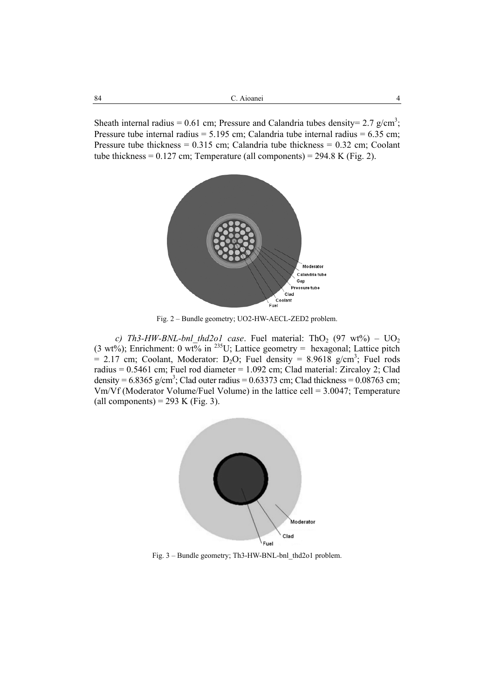Sheath internal radius = 0.61 cm; Pressure and Calandria tubes density = 2.7 g/cm<sup>3</sup>; Pressure tube internal radius =  $5.195$  cm; Calandria tube internal radius =  $6.35$  cm; Pressure tube thickness =  $0.315$  cm; Calandria tube thickness =  $0.32$  cm; Coolant tube thickness =  $0.127$  cm; Temperature (all components) =  $294.8$  K (Fig. 2).



Fig. 2 – Bundle geometry; UO2-HW-AECL-ZED2 problem.

*c)* Th3-HW-BNL-bnl\_thd2o1 case. Fuel material: ThO<sub>2</sub> (97 wt%) –  $UO<sub>2</sub>$ (3 wt%); Enrichment: 0 wt% in <sup>235</sup>U; Lattice geometry = hexagonal; Lattice pitch  $= 2.17$  cm; Coolant, Moderator: D<sub>2</sub>O; Fuel density  $= 8.9618$  g/cm<sup>3</sup>; Fuel rods radius =  $0.5461$  cm; Fuel rod diameter =  $1.092$  cm; Clad material: Zircaloy 2; Clad density =  $6.8365$  g/cm<sup>3</sup>; Clad outer radius =  $0.63373$  cm; Clad thickness =  $0.08763$  cm; Vm/Vf (Moderator Volume/Fuel Volume) in the lattice cell = 3.0047; Temperature (all components) = 293 K (Fig. 3).



Fig. 3 – Bundle geometry; Th3-HW-BNL-bnl\_thd2o1 problem.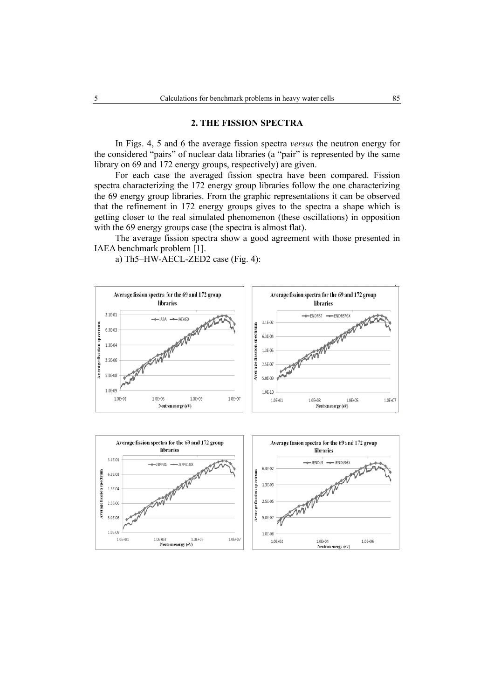### **2. THE FISSION SPECTRA**

In Figs. 4, 5 and 6 the average fission spectra *versus* the neutron energy for the considered "pairs" of nuclear data libraries (a "pair" is represented by the same library on 69 and 172 energy groups, respectively) are given.

For each case the averaged fission spectra have been compared. Fission spectra characterizing the 172 energy group libraries follow the one characterizing the 69 energy group libraries. From the graphic representations it can be observed that the refinement in 172 energy groups gives to the spectra a shape which is getting closer to the real simulated phenomenon (these oscillations) in opposition with the 69 energy groups case (the spectra is almost flat).

The average fission spectra show a good agreement with those presented in IAEA benchmark problem [1].

a) Th5–HW-AECL-ZED2 case (Fig. 4):



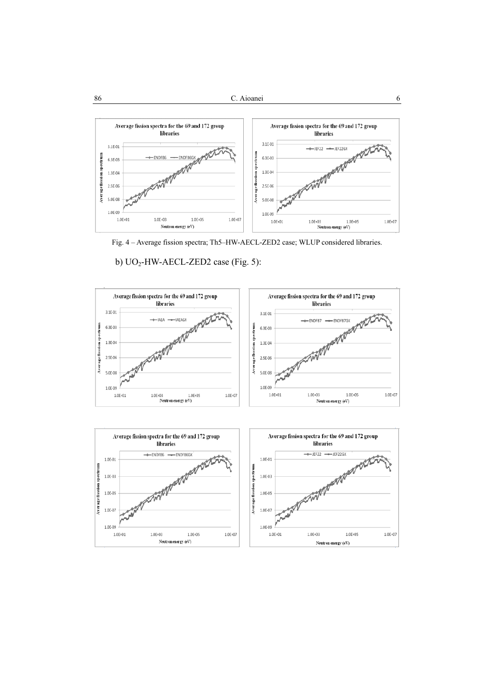

Fig. 4 – Average fission spectra; Th5–HW-AECL-ZED2 case; WLUP considered libraries.

b) UO<sub>2</sub>-HW-AECL-ZED2 case (Fig. 5):

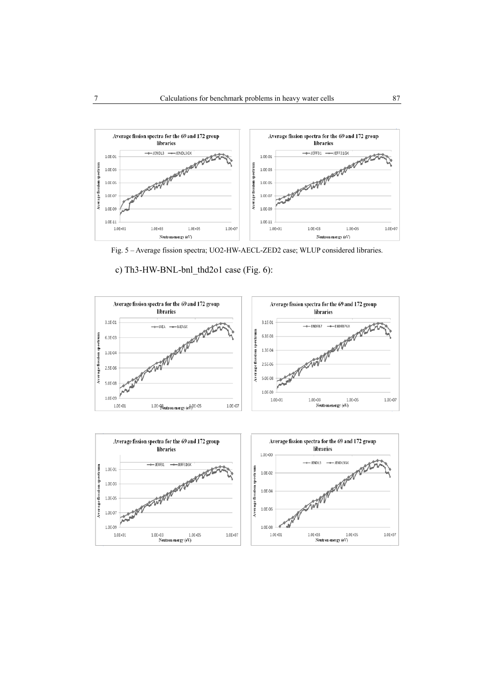

Fig. 5 – Average fission spectra; UO2-HW-AECL-ZED2 case; WLUP considered libraries.

c) Th3-HW-BNL-bnl\_thd2o1 case (Fig. 6):



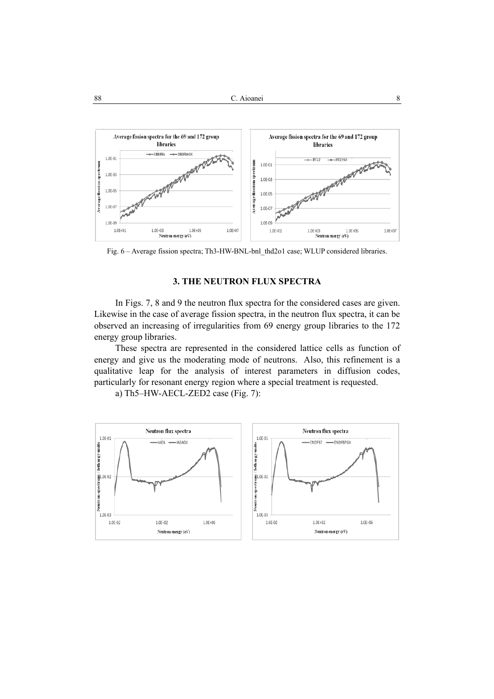

Fig. 6 – Average fission spectra; Th3-HW-BNL-bnl\_thd2o1 case; WLUP considered libraries.

## **3. THE NEUTRON FLUX SPECTRA**

In Figs. 7, 8 and 9 the neutron flux spectra for the considered cases are given. Likewise in the case of average fission spectra, in the neutron flux spectra, it can be observed an increasing of irregularities from 69 energy group libraries to the 172 energy group libraries.

These spectra are represented in the considered lattice cells as function of energy and give us the moderating mode of neutrons. Also, this refinement is a qualitative leap for the analysis of interest parameters in diffusion codes, particularly for resonant energy region where a special treatment is requested.

a) Th5–HW-AECL-ZED2 case (Fig. 7):

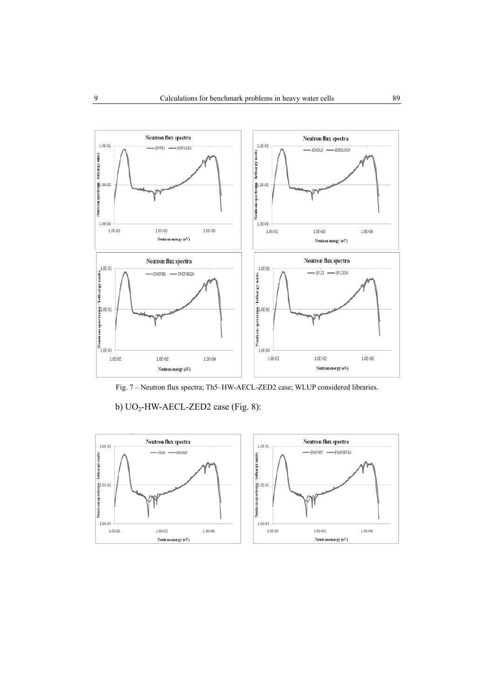

Fig. 7 – Neutron flux spectra; Th5–HW-AECL-ZED2 case; WLUP considered libraries.

b) UO<sub>2</sub>-HW-AECL-ZED2 case (Fig. 8):

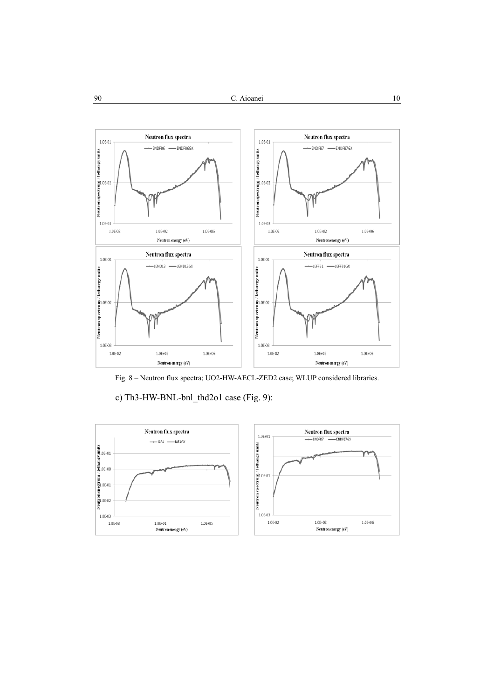

Fig. 8 – Neutron flux spectra; UO2-HW-AECL-ZED2 case; WLUP considered libraries.

c) Th3-HW-BNL-bnl\_thd2o1 case (Fig. 9):

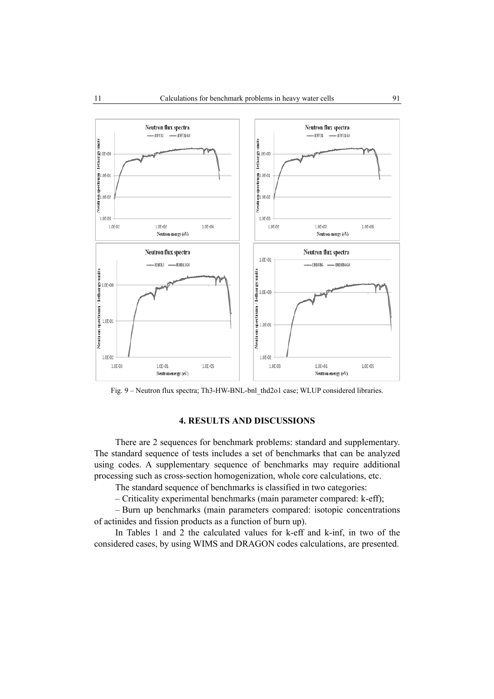

Fig. 9 – Neutron flux spectra; Th3-HW-BNL-bnl\_thd2o1 case; WLUP considered libraries.

## **4. RESULTS AND DISCUSSIONS**

There are 2 sequences for benchmark problems: standard and supplementary. The standard sequence of tests includes a set of benchmarks that can be analyzed using codes. A supplementary sequence of benchmarks may require additional processing such as cross-section homogenization, whole core calculations, etc.

The standard sequence of benchmarks is classified in two categories:

– Criticality experimental benchmarks (main parameter compared: k-eff);

– Burn up benchmarks (main parameters compared: isotopic concentrations of actinides and fission products as a function of burn up).

In Tables 1 and 2 the calculated values for k-eff and k-inf, in two of the considered cases, by using WIMS and DRAGON codes calculations, are presented.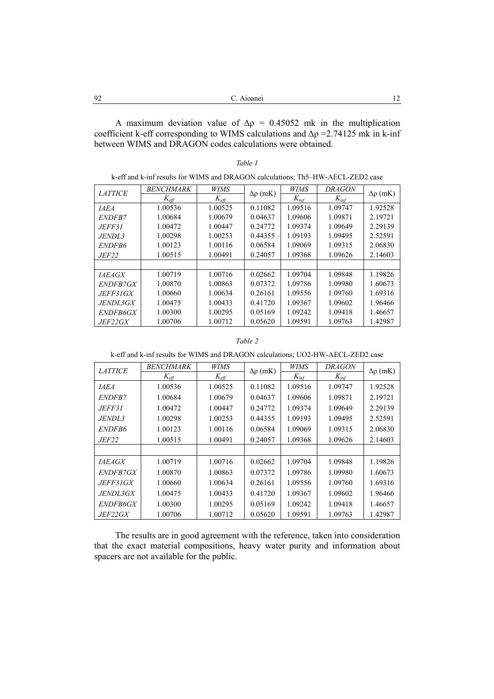A maximum deviation value of  $\Delta \rho = 0.45052$  mk in the multiplication coefficient k-eff corresponding to WIMS calculations and  $\Delta \rho = 2.74125$  mk in k-inf between WIMS and DRAGON codes calculations were obtained.

| k-eff and k-inf results for WIMS and DRAGON calculations; Th5–HW-AECL-ZED2 case |                  |               |                    |           |               |                    |  |  |  |
|---------------------------------------------------------------------------------|------------------|---------------|--------------------|-----------|---------------|--------------------|--|--|--|
| <b>LATTICE</b>                                                                  | <b>BENCHMARK</b> | <b>WIMS</b>   | $\Delta \rho$ (mK) | WIMS      | <i>DRAGON</i> | $\Delta \rho$ (mK) |  |  |  |
|                                                                                 | $K_{\text{eff}}$ | $K_{\it eff}$ |                    | $K_{inf}$ | $K_{inf}$     |                    |  |  |  |
| <i><b>IAEA</b></i>                                                              | 1.00536          | 1.00525       | 0.11082            | 1.09516   | 1.09747       | 1.92528            |  |  |  |
| <i>ENDFB7</i>                                                                   | 1.00684          | 1.00679       | 0.04637            | 1.09606   | 1.09871       | 2.19721            |  |  |  |
| <i>JEFF31</i>                                                                   | 1.00472          | 1.00447       | 0.24772            | 1.09374   | 1.09649       | 2.29139            |  |  |  |
| <i>JENDL3</i>                                                                   | 1.00298          | 1.00253       | 0.44355            | 1.09193   | 1.09495       | 2.52591            |  |  |  |
| ENDFB6                                                                          | 1.00123          | 1.00116       | 0.06584            | 1.09069   | 1.09315       | 2.06830            |  |  |  |
| <i>JEF22</i>                                                                    | 1.00515          | 1.00491       | 0.24057            | 1.09368   | 1.09626       | 2.14603            |  |  |  |
|                                                                                 |                  |               |                    |           |               |                    |  |  |  |
| <i>IAEAGX</i>                                                                   | 1.00719          | 1.00716       | 0.02662            | 1.09704   | 1.09848       | 1.19826            |  |  |  |
| <i>ENDFB7GX</i>                                                                 | 1.00870          | 1.00863       | 0.07372            | 1.09786   | 1.09980       | 1.60673            |  |  |  |
| JEFF31GX                                                                        | 1.00660          | 1.00634       | 0.26161            | 1.09556   | 1.09760       | 1.69316            |  |  |  |
| JENDL3GX                                                                        | 1.00475          | 1.00433       | 0.41720            | 1.09367   | 1.09602       | 1.96466            |  |  |  |
| <i>ENDFB6GX</i>                                                                 | 1.00300          | 1.00295       | 0.05169            | 1.09242   | 1.09418       | 1.46657            |  |  |  |
| JEF22GX                                                                         | 1.00706          | 1.00712       | 0.05620            | 1.09591   | 1.09763       | 1.42987            |  |  |  |

### *Table 1*

k-eff and k-inf results for WIMS and DRAGON calculations; The HWI-AECL-ZED2

### *Table 2*

k-eff and k-inf results for WIMS and DRAGON calculations; UO2-HW-AECL-ZED2 case

| <b>LATTICE</b>       | <b>BENCHMARK</b>      | <b>WIMS</b>      | $\Delta \rho$ (mK) | WIMS      | <b>DRAGON</b> | $\Delta \rho$ (mK) |
|----------------------|-----------------------|------------------|--------------------|-----------|---------------|--------------------|
|                      | $K_{\underline{eff}}$ | $K_{\text{eff}}$ |                    | $K_{inf}$ | $K_{inf}$     |                    |
| <b>IAEA</b>          | 1.00536               | 1.00525          | 0.11082            | 1.09516   | 1.09747       | 1.92528            |
| <i>ENDFB7</i>        | 1.00684               | 1.00679          | 0.04637            | 1.09606   | 1.09871       | 2.19721            |
| JEFF31.              | 1.00472               | 1.00447          | 0.24772            | 1.09374   | 1.09649       | 2.29139            |
| <i>JENDL3</i>        | 1.00298               | 1.00253          | 0.44355            | 1.09193   | 1.09495       | 2.52591            |
| <i>ENDFB6</i>        | 1.00123               | 1.00116          | 0.06584            | 1.09069   | 1.09315       | 2.06830            |
| <i>JEF22</i>         | 1.00515               | 1.00491          | 0.24057            | 1.09368   | 1.09626       | 2.14603            |
|                      |                       |                  |                    |           |               |                    |
| <i><b>IAEAGX</b></i> | 1.00719               | 1.00716          | 0.02662            | 1.09704   | 1.09848       | 1.19826            |
| <i>ENDFB7GX</i>      | 1.00870               | 1.00863          | 0.07372            | 1.09786   | 1.09980       | 1.60673            |
| JEFF31GX             | 1.00660               | 1.00634          | 0.26161            | 1.09556   | 1.09760       | 1.69316            |
| <i>JENDL3GX</i>      | 1.00475               | 1.00433          | 0.41720            | 1.09367   | 1.09602       | 1.96466            |
| <i>ENDFB6GX</i>      | 1.00300               | 1.00295          | 0.05169            | 1.09242   | 1.09418       | 1.46657            |
| <i>JEF22GX</i>       | 1.00706               | 1.00712          | 0.05620            | 1.09591   | 1.09763       | 1.42987            |

The results are in good agreement with the reference, taken into consideration that the exact material compositions, heavy water purity and information about spacers are not available for the public.